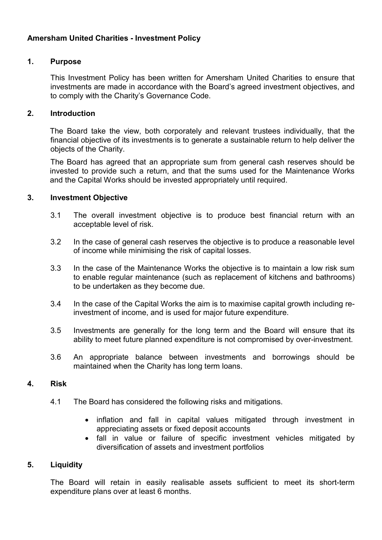# Amersham United Charities - Investment Policy

### 1. Purpose

This Investment Policy has been written for Amersham United Charities to ensure that investments are made in accordance with the Board's agreed investment objectives, and to comply with the Charity's Governance Code.

### 2. Introduction

The Board take the view, both corporately and relevant trustees individually, that the financial objective of its investments is to generate a sustainable return to help deliver the objects of the Charity.

The Board has agreed that an appropriate sum from general cash reserves should be invested to provide such a return, and that the sums used for the Maintenance Works and the Capital Works should be invested appropriately until required.

#### 3. Investment Objective

- 3.1 The overall investment objective is to produce best financial return with an acceptable level of risk.
- 3.2 In the case of general cash reserves the objective is to produce a reasonable level of income while minimising the risk of capital losses.
- 3.3 In the case of the Maintenance Works the objective is to maintain a low risk sum to enable regular maintenance (such as replacement of kitchens and bathrooms) to be undertaken as they become due.
- 3.4 In the case of the Capital Works the aim is to maximise capital growth including reinvestment of income, and is used for major future expenditure.
- 3.5 Investments are generally for the long term and the Board will ensure that its ability to meet future planned expenditure is not compromised by over-investment.
- 3.6 An appropriate balance between investments and borrowings should be maintained when the Charity has long term loans.

#### 4. Risk

- 4.1 The Board has considered the following risks and mitigations.
	- inflation and fall in capital values mitigated through investment in appreciating assets or fixed deposit accounts
	- fall in value or failure of specific investment vehicles mitigated by diversification of assets and investment portfolios

### 5. Liquidity

The Board will retain in easily realisable assets sufficient to meet its short-term expenditure plans over at least 6 months.